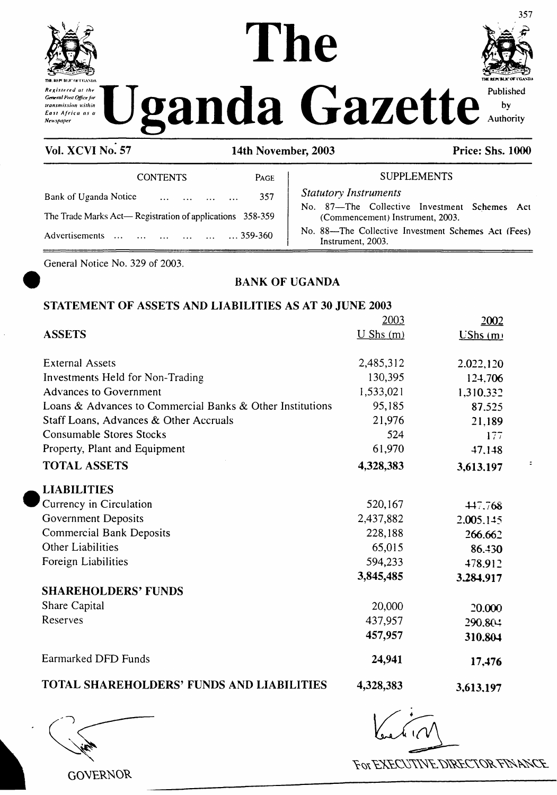





 $\ddot{ }$ 

**Vol. XCVI No. 57 14th November, 2003 Price: Shs. 1000**

| <b>CONTENTS</b>                                          | PAGE | <b>SUPI</b>                                         |
|----------------------------------------------------------|------|-----------------------------------------------------|
| Bank of Uganda Notice<br>$\cdots$ $\cdots$               | 357  | <b>Statutory Instruments</b><br>No. 87-The Collecti |
| The Trade Marks Act—Registration of applications 358-359 |      | (Commencement) In:                                  |
| Advertisements<br>359-360                                |      | No. 88—The Collective<br>Instrument, 2003.          |

No. 87—The Collective Investment Schemes Act (Commencement) Instrument, 2003. No. 88—The Collective Investment Schemes Act (Fees)

**SUPPLEMENTS** 

General Notice No. 329 of 2003.

# **BANK OF UGANDA**

# **STATEMENT OF ASSETS AND LIABILITIES AS AT 30 JUNE 2003**

|                                                           | 2003          | 2002      |
|-----------------------------------------------------------|---------------|-----------|
| <b>ASSETS</b>                                             | $U$ Shs $(m)$ | UShs(m)   |
| <b>External Assets</b>                                    | 2,485,312     | 2.022,120 |
| Investments Held for Non-Trading                          | 130,395       | 124,706   |
| <b>Advances to Government</b>                             | 1,533,021     | 1,310.332 |
| Loans & Advances to Commercial Banks & Other Institutions | 95,185        | 87.525    |
| Staff Loans, Advances & Other Accruals                    | 21,976        | 21,189    |
| <b>Consumable Stores Stocks</b>                           | 524           | 177       |
| Property, Plant and Equipment                             | 61,970        | 47.148    |
| <b>TOTAL ASSETS</b>                                       | 4,328,383     | 3,613.197 |
| <b>LIABILITIES</b>                                        |               |           |
| Currency in Circulation                                   | 520,167       | 447.768   |
| Government Deposits                                       | 2,437,882     | 2.005.145 |
| <b>Commercial Bank Deposits</b>                           | 228,188       | 266.662   |
| <b>Other Liabilities</b>                                  | 65,015        | 86.430    |
| Foreign Liabilities                                       | 594,233       | 478.912   |
|                                                           | 3,845,485     | 3.284,917 |
| <b>SHAREHOLDERS' FUNDS</b>                                |               |           |
| Share Capital                                             | 20,000        | 20.000    |
| Reserves                                                  | 437,957       | 290.804   |
|                                                           | 457,957       | 310.804   |
| Earmarked DFD Funds                                       | 24,941        | 17,476    |
| <b>TOTAL SHAREHOLDERS' FUNDS AND LIABILITIES</b>          | 4,328,383     | 3,613,197 |

**GOVERNOR** 

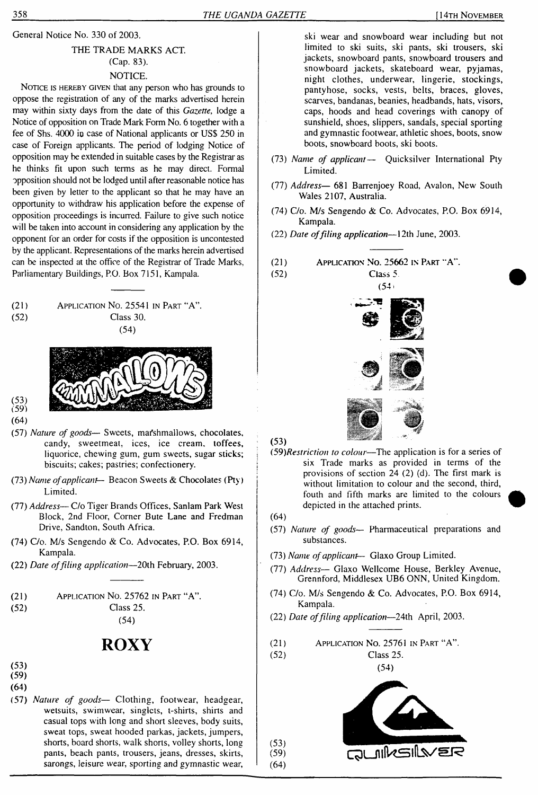General Notice No. 330 of 2003.

# THE TRADE MARKS ACT. (Cap. 83). NOTICE.

NOTICE IS HEREBY GIVEN that any person who has grounds to oppose the registration of any of the marks advertised herein may within sixty days from the date of this *Gazette,* lodge a Notice of opposition on Trade Mark Form No. 6 together with a fee of Shs. 4000 io case of National applicants or US\$ 250 in case of Foreign applicants. The period of lodging Notice of opposition may be extended in suitable cases by the Registrar as he thinks fit upon such terms as he may direct. Formal opposition should not be lodged until after reasonable notice has been given by letter to the applicant so that he may have an opportunity to withdraw his application before the expense of opposition proceedings is incurred. Failure to give such notice will be taken into account in considering any application by the opponent for an order for costs if the opposition is uncontested by the applicant. Representations of the marks herein advertised can be inspected at the office of the Registrar of Trade Marks, Parliamentary Buildings, P.O. Box 7151, Kampala.







- (53) (59) (64)
- (57) *Nature of goods—* Sweets, mafshmallows, chocolates, candy, sweetmeat, ices, ice cream, toffees, liquorice, chewing gum, gum sweets, sugar sticks; biscuits; cakes; pastries; confectionery.
- (73) *Name ofapplicant—* Beacon Sweets & Chocolates (Pty) <sup>j</sup> Limited.
- (77) *Address—* C/o Tiger Brands Offices, Sanlam Park West Block, 2nd Floor, Corner Bute Lane and Fredman Drive, Sandton, South Africa.
- (74) C/o. M/s Sengendo & Co. Advocates, P.O. Box 6914, Kampala.
- (22) *Date offiling application—*20th February, 2003.

| (21) | APPLICATION NO. 25762 IN PART "A". |
|------|------------------------------------|
| (52) | Class 25.                          |

(54)

# **ROXY**

- (53) (59)
- **(64)**
- (57) *Nature of goods—* Clothing, footwear, headgear, wetsuits, swimwear, singlets, t-shirts, shirts and casual tops with long and short sleeves, body suits, sweat tops, sweat hooded parkas, jackets, jumpers, shorts, board shorts, walk shorts, volley shorts, long pants, beach pants, trousers, jeans, dresses, skirts, sarongs, leisure wear, sporting and gymnastic wear,

ski wear and snowboard wear including but not limited to ski suits, ski pants, ski trousers, ski jackets, snowboard pants, snowboard trousers and snowboard jackets, skateboard wear, pyjamas, night clothes, underwear, lingerie, stockings, pantyhose, socks, vests, belts, braces, gloves, scarves, bandanas, beanies, headbands, hats, visors, caps, hoods and head coverings with canopy of sunshield, shoes, slippers, sandals, special sporting and gymnastic footwear, athletic shoes, boots, snow boots, snowboard boots, ski boots.

- (73) *Name of applicant—* Quicksilver International Pty Limited.
- (77) *Address—* 681 Barrenjoey Road, Avalon, New South Wales 2107, Australia.
- (74) C/o. M/s Sengendo & Co. Advocates, P.O. Box 6914, Kampala.
- (22) *Date offiling application—*12th June, 2003.
- (21) Application No. 25662 in Part "A".
- (52) Class 5.  $(54)$



 $(53)$ 

- *(59)Restriction to colour*—The application is for a series of six Trade marks as provided in terms of the provisions of section 24 (2) (d). The first mark is without limitation to colour and the second, third, fouth and fifth marks are limited to the colours depicted in the attached prints.
- (64)

 $(53)$  $(59)$  $(64)$ 

- (57) *Nature of goods* Pharmaceutical preparations and substances.
- (73) *Name ofapplicant—* Glaxo Group Limited.
- (77) *Address—* Glaxo Wellcome House, Berkley Avenue, Grennford, Middlesex UB6 ONN, United Kingdom.
- (74) C/o. M/s Sengendo & Co. Advocates, P.O. Box 6914, Kampala.
- (22) *Date offiling application—*24th April, 2003.
- (21) Application No. 25761 in Part "A".

(52) Class 25.





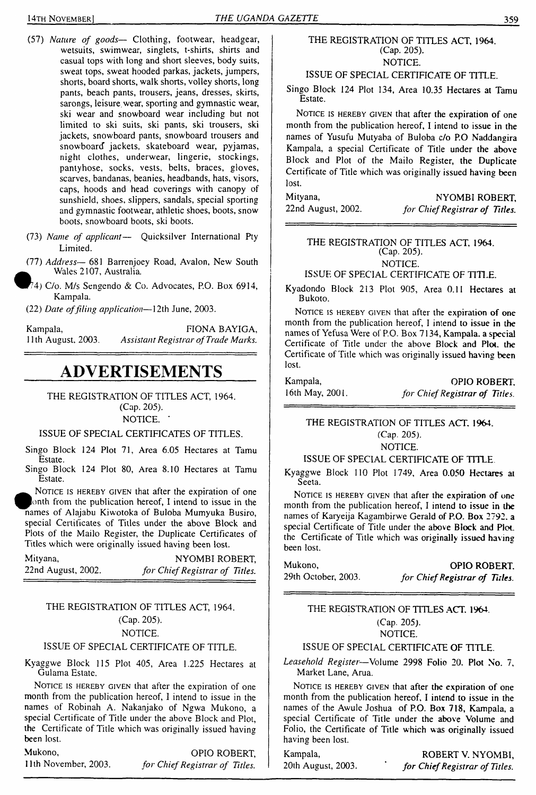- (57) *Nature of goods—* Clothing, footwear, headgear, wetsuits, swimwear, singlets, t-shirts, shirts and casual tops with long and short sleeves, body suits, sweat tops, sweat hooded parkas, jackets, jumpers, shorts, board shorts, walk shorts, volley shorts, long pants, beach pants, trousers, jeans, dresses, skirts, sarongs, leisure, wear, sporting and gymnastic wear, ski wear and snowboard wear including but not limited to ski suits, ski pants, ski trousers, ski jackets, snowboard pants, snowboard trousers and snowboard jackets, skateboard wear, pyjamas, night clothes, underwear, lingerie, stockings, pantyhose, socks, vests, belts, braces, gloves, scarves, bandanas, beanies, headbands, hats, visors, caps, hoods and head coverings with canopy of sunshield, shoes, slippers, sandals, special sporting and gymnastic footwear, athletic shoes, boots, snow boots, snowboard boots, ski boots.
- (73) *Name of applicant—* Quicksilver International Pty Limited.
- (77) *Address—* 681 Barrenjoey Road, Avalon, New South Wales 2107, Australia.
- r?4) C/o. M/s Sengendo & Co. Advocates, P.O. Box 6914, Kampala.
- (22) *Date offiling application—*12th June, 2003.

Kampala, 11th August, 2003. FIONA BAYIGA, *Assistant Registrar ofTrade Marks.*

# **ADVERTISEMENTS**

THE REGISTRATION OF TITLES ACT, 1964. (Cap. 205).

NOTICE. '

#### ISSUE OF SPECIAL CERTIFICATES OF TITLES.

Singo Block 124 Plot 71, Area 6.05 Hectares at Tamu Estate.

Singo Block 124 Plot 80, Area 8.10 Hectares at Tamu Estate.

NOTICE IS HEREBY GIVEN that after the expiration of one lonth from the publication hereof, I intend to issue in the names of Alajabu Kiwotoka of Buloba Mumyuka Busiro, special Certificates of Titles under the above Block and Plots of the Mailo Register, the Duplicate Certificates of Titles which were originally issued having been lost.

| Mityana,           | NYOMBI ROBERT,                 |
|--------------------|--------------------------------|
| 22nd August, 2002. | for Chief Registrar of Titles. |

# THE REGISTRATION OF TITLES ACT, 1964. (Cap. 205).

### NOTICE.

#### ISSUE OF SPECIAL CERTIFICATE OF TITLE.

Kyaggwe Block 115 Plot 405, Area 1.225 Hectares at Gulama Estate.

NOTICE IS HEREBY GIVEN that after the expiration of one month from the publication hereof, I intend to issue in the names of Robinah A. Nakanjako of Ngwa Mukono, a special Certificate of Title under the above Block and Plot, the Certificate of Title which was originally issued having been lost.

Mukono, OPIO ROBERT, 11th November, 2003. *for ChiefRegistrar of Titles.*

#### THE REGISTRATION OF TITLES ACT, 1964. (Cap. 205). NOTICE.

#### ISSUE OF SPECIAL CERTIFICATE OF TITLE.

Singo Block 124 Plot 134, Area 10.35 Hectares at Tamu Estate.

NOTICE IS HEREBY GIVEN that after the expiration of one month from the publication hereof, I intend to issue in the names of Yusufu Mutyaba of Buloba c/o P.O Naddangira Kampala, a special Certificate of Title under the above Block and Plot of the Mailo Register, the Duplicate Certificate of Title which was originally issued having been lost.

Mityana, NYOMBI ROBERT, 22nd August, 2002. *for ChiefRegistrar of Titles.*

#### THE REGISTRATION OF TITLES ACT. 1964. (Cap. 205). NOTICE.

#### ISSUE OF SPECIAL CERTIFICATE OF TITLE.

Kyadondo Block 213 Plot 905, Area 0.11 Hectares at Bukoto.

NOTICE IS HEREBY GIVEN that after the expiration of one month from the publication hereof, I intend to issue in the names of Yefusa Were of P.O. Box 7134, Kampala, a special Certificate of Title under the above Block and Plot, the Certificate of Title which was originally issued having been lost.

| Kampala,        | OPIO ROBERT.                   |
|-----------------|--------------------------------|
| 16th May, 2001. | for Chief Registrar of Titles. |

THE REGISTRATION OF TITLES ACT. 1964. (Cap. 205).

NOTICE.

#### ISSUE OF SPECIAL CERTIFICATE OF TITLE

Kyaggwe Block 110 Plot 1749, Area 0.050 Hectares at Seeta.

NOTICE IS HEREBY GIVEN that after the expiration of one month from the publication hereof, I intend to issue in the names of Karyeija Kagambirwe Gerald of P.O. Box 2792. a special Certificate of Title under the above Block and Plot, the Certificate of Title which was originally issued having been lost.

Mukono, **OPIO ROBERT.** 29th October, 2003. *for ChiefRegistrar of Titles.*

#### THE REGISTRATION OF TITLES ACT. 1964. (Cap. 205).

NOTICE.

### ISSUE OF SPECIAL CERTIFICATE OF TITLE.

*Leasehold Register*—Volume 2998 Folio 20. Plot No. 7, Market Lane, Arua.

NOTICE IS HEREBY GIVEN that after the expiration of one month from the publication hereof, I intend to issue in the names of the Awule Joshua of P.O. Box 718, Kampala, a special Certificate of Title under the above Volume and Folio, the Certificate of Title which was originally issued having been lost.

Kampala, ROBERT V. NYOMBI, 20th August, 2003. *for ChiefRegistrar of Titles.*